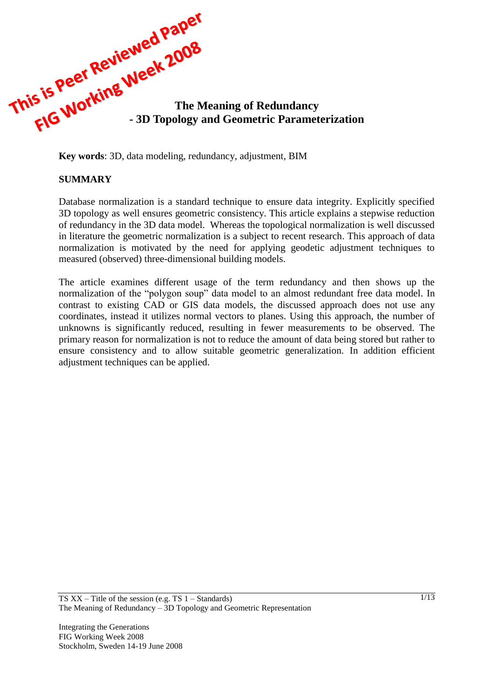

**Key words**: 3D, data modeling, redundancy, adjustment, BIM

### **SUMMARY**

Database normalization is a standard technique to ensure data integrity. Explicitly specified 3D topology as well ensures geometric consistency. This article explains a stepwise reduction of redundancy in the 3D data model. Whereas the topological normalization is well discussed in literature the geometric normalization is a subject to recent research. This approach of data normalization is motivated by the need for applying geodetic adjustment techniques to measured (observed) three-dimensional building models.

The article examines different usage of the term redundancy and then shows up the normalization of the "polygon soup" data model to an almost redundant free data model. In contrast to existing CAD or GIS data models, the discussed approach does not use any coordinates, instead it utilizes normal vectors to planes. Using this approach, the number of unknowns is significantly reduced, resulting in fewer measurements to be observed. The primary reason for normalization is not to reduce the amount of data being stored but rather to ensure consistency and to allow suitable geometric generalization. In addition efficient adjustment techniques can be applied.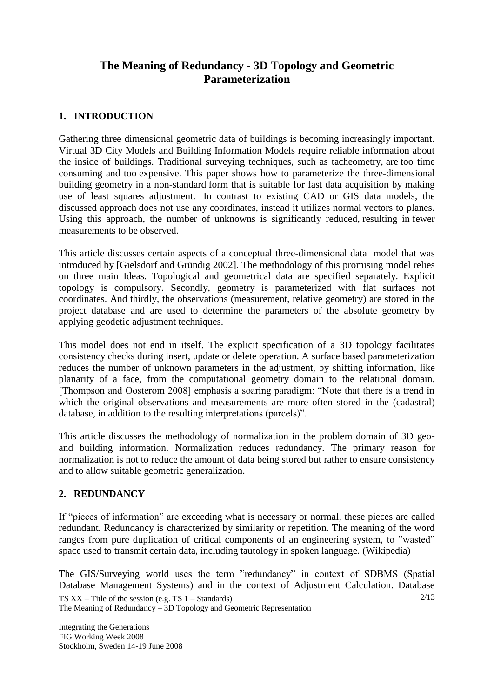# **The Meaning of Redundancy - 3D Topology and Geometric Parameterization**

### **1. INTRODUCTION**

Gathering three dimensional geometric data of buildings is becoming increasingly important. Virtual 3D City Models and Building Information Models require reliable information about the inside of buildings. Traditional surveying techniques, such as tacheometry, are too time consuming and too expensive. This paper shows how to parameterize the three-dimensional building geometry in a non-standard form that is suitable for fast data acquisition by making use of least squares adjustment. In contrast to existing CAD or GIS data models, the discussed approach does not use any coordinates, instead it utilizes normal vectors to planes. Using this approach, the number of unknowns is significantly reduced, resulting in fewer measurements to be observed.

This article discusses certain aspects of a conceptual three-dimensional data model that was introduced by [Gielsdorf and Gründig 2002]. The methodology of this promising model relies on three main Ideas. Topological and geometrical data are specified separately. Explicit topology is compulsory. Secondly, geometry is parameterized with flat surfaces not coordinates. And thirdly, the observations (measurement, relative geometry) are stored in the project database and are used to determine the parameters of the absolute geometry by applying geodetic adjustment techniques.

This model does not end in itself. The explicit specification of a 3D topology facilitates consistency checks during insert, update or delete operation. A surface based parameterization reduces the number of unknown parameters in the adjustment, by shifting information, like planarity of a face, from the computational geometry domain to the relational domain. [Thompson and Oosterom 2008] emphasis a soaring paradigm: "Note that there is a trend in which the original observations and measurements are more often stored in the (cadastral) database, in addition to the resulting interpretations (parcels)".

This article discusses the methodology of normalization in the problem domain of 3D geoand building information. Normalization reduces redundancy. The primary reason for normalization is not to reduce the amount of data being stored but rather to ensure consistency and to allow suitable geometric generalization.

### **2. REDUNDANCY**

If "pieces of information" are exceeding what is necessary or normal, these pieces are called redundant. Redundancy is characterized by similarity or repetition. The meaning of the word ranges from pure duplication of critical components of an engineering system, to "wasted" space used to transmit certain data, including tautology in spoken language. (Wikipedia)

The GIS/Surveying world uses the term "redundancy" in context of SDBMS (Spatial Database Management Systems) and in the context of Adjustment Calculation. Database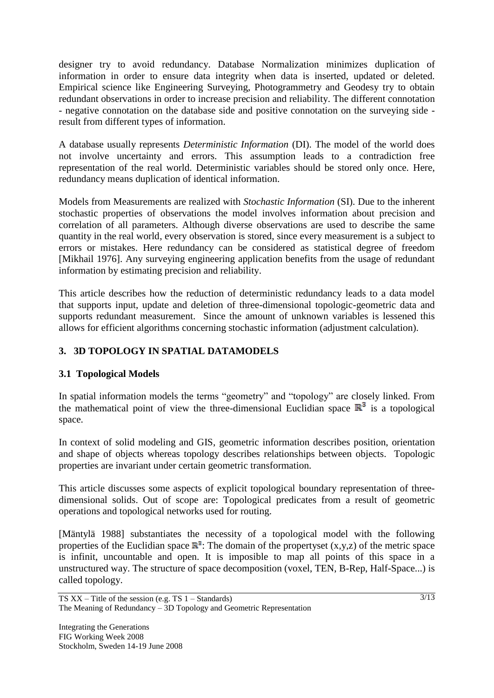designer try to avoid redundancy. Database Normalization minimizes duplication of information in order to ensure data integrity when data is inserted, updated or deleted. Empirical science like Engineering Surveying, Photogrammetry and Geodesy try to obtain redundant observations in order to increase precision and reliability. The different connotation - negative connotation on the database side and positive connotation on the surveying side result from different types of information.

A database usually represents *Deterministic Information* (DI). The model of the world does not involve uncertainty and errors. This assumption leads to a contradiction free representation of the real world. Deterministic variables should be stored only once. Here, redundancy means duplication of identical information.

Models from Measurements are realized with *Stochastic Information* (SI). Due to the inherent stochastic properties of observations the model involves information about precision and correlation of all parameters. Although diverse observations are used to describe the same quantity in the real world, every observation is stored, since every measurement is a subject to errors or mistakes. Here redundancy can be considered as statistical degree of freedom [Mikhail 1976]. Any surveying engineering application benefits from the usage of redundant information by estimating precision and reliability.

This article describes how the reduction of deterministic redundancy leads to a data model that supports input, update and deletion of three-dimensional topologic-geometric data and supports redundant measurement. Since the amount of unknown variables is lessened this allows for efficient algorithms concerning stochastic information (adjustment calculation).

## **3. 3D TOPOLOGY IN SPATIAL DATAMODELS**

## **3.1 Topological Models**

In spatial information models the terms "geometry" and "topology" are closely linked. From the mathematical point of view the three-dimensional Euclidian space  $\mathbb{R}^3$  is a topological space.

In context of solid modeling and GIS, geometric information describes position, orientation and shape of objects whereas topology describes relationships between objects. Topologic properties are invariant under certain geometric transformation.

This article discusses some aspects of explicit topological boundary representation of threedimensional solids. Out of scope are: Topological predicates from a result of geometric operations and topological networks used for routing.

[Mäntylä 1988] substantiates the necessity of a topological model with the following properties of the Euclidian space  $\mathbb{R}^3$ . The domain of the propertyset  $(x,y,z)$  of the metric space is infinit, uncountable and open. It is imposible to map all points of this space in a unstructured way. The structure of space decomposition (voxel, TEN, B-Rep, Half-Space...) is called topology.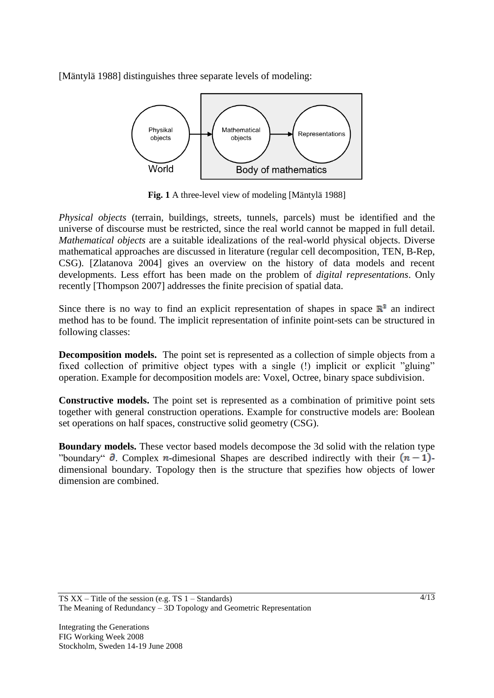[Mäntylä 1988] distinguishes three separate levels of modeling:



**Fig. 1** A three-level view of modeling [Mäntylä 1988]

*Physical objects* (terrain, buildings, streets, tunnels, parcels) must be identified and the universe of discourse must be restricted, since the real world cannot be mapped in full detail. *Mathematical objects* are a suitable idealizations of the real-world physical objects. Diverse mathematical approaches are discussed in literature (regular cell decomposition, TEN, B-Rep, CSG). [Zlatanova 2004] gives an overview on the history of data models and recent developments. Less effort has been made on the problem of *digital representations*. Only recently [Thompson 2007] addresses the finite precision of spatial data.

Since there is no way to find an explicit representation of shapes in space  $\mathbb{R}^3$  an indirect method has to be found. The implicit representation of infinite point-sets can be structured in following classes:

**Decomposition models.** The point set is represented as a collection of simple objects from a fixed collection of primitive object types with a single (!) implicit or explicit "gluing" operation. Example for decomposition models are: Voxel, Octree, binary space subdivision.

**Constructive models.** The point set is represented as a combination of primitive point sets together with general construction operations. Example for constructive models are: Boolean set operations on half spaces, constructive solid geometry (CSG).

**Boundary models.** These vector based models decompose the 3d solid with the relation type "boundary"  $\partial$ . Complex *n*-dimesional Shapes are described indirectly with their  $(n-1)$ dimensional boundary. Topology then is the structure that spezifies how objects of lower dimension are combined.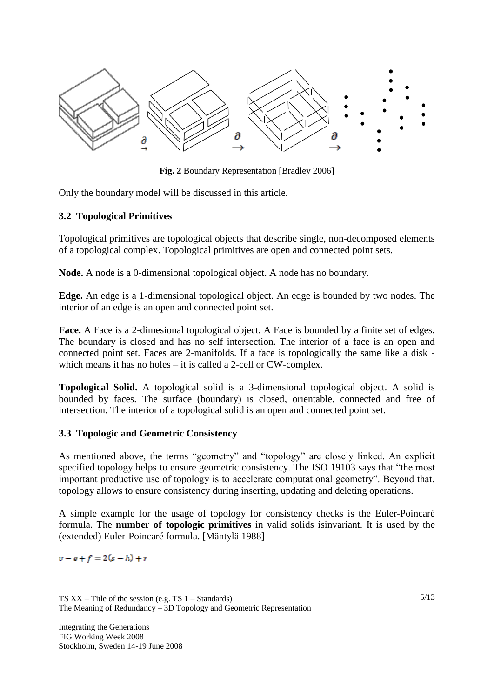

**Fig. 2** Boundary Representation [Bradley 2006]

Only the boundary model will be discussed in this article.

### **3.2 Topological Primitives**

Topological primitives are topological objects that describe single, non-decomposed elements of a topological complex. Topological primitives are open and connected point sets.

**Node.** A node is a 0-dimensional topological object. A node has no boundary.

**Edge.** An edge is a 1-dimensional topological object. An edge is bounded by two nodes. The interior of an edge is an open and connected point set.

**Face.** A Face is a 2-dimesional topological object. A Face is bounded by a finite set of edges. The boundary is closed and has no self intersection. The interior of a face is an open and connected point set. Faces are 2-manifolds. If a face is topologically the same like a disk which means it has no holes – it is called a 2-cell or CW-complex.

**Topological Solid.** A topological solid is a 3-dimensional topological object. A solid is bounded by faces. The surface (boundary) is closed, orientable, connected and free of intersection. The interior of a topological solid is an open and connected point set.

### **3.3 Topologic and Geometric Consistency**

As mentioned above, the terms "geometry" and "topology" are closely linked. An explicit specified topology helps to ensure geometric consistency. The ISO 19103 says that "the most important productive use of topology is to accelerate computational geometry". Beyond that, topology allows to ensure consistency during inserting, updating and deleting operations.

A simple example for the usage of topology for consistency checks is the Euler-Poincaré formula. The **number of topologic primitives** in valid solids isinvariant. It is used by the (extended) Euler-Poincaré formula. [Mäntylä 1988]

 $v - e + f = 2(s - h) + r$ 

TS  $XX$  – Title of the session (e.g. TS  $1$  – Standards) The Meaning of Redundancy – 3D Topology and Geometric Representation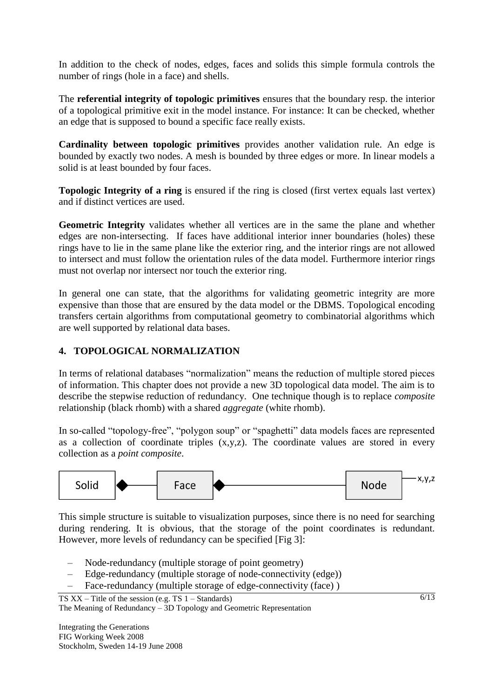In addition to the check of nodes, edges, faces and solids this simple formula controls the number of rings (hole in a face) and shells.

The **referential integrity of topologic primitives** ensures that the boundary resp. the interior of a topological primitive exit in the model instance. For instance: It can be checked, whether an edge that is supposed to bound a specific face really exists.

**Cardinality between topologic primitives** provides another validation rule. An edge is bounded by exactly two nodes. A mesh is bounded by three edges or more. In linear models a solid is at least bounded by four faces.

**Topologic Integrity of a ring** is ensured if the ring is closed (first vertex equals last vertex) and if distinct vertices are used.

**Geometric Integrity** validates whether all vertices are in the same the plane and whether edges are non-intersecting. If faces have additional interior inner boundaries (holes) these rings have to lie in the same plane like the exterior ring, and the interior rings are not allowed to intersect and must follow the orientation rules of the data model. Furthermore interior rings must not overlap nor intersect nor touch the exterior ring.

In general one can state, that the algorithms for validating geometric integrity are more expensive than those that are ensured by the data model or the DBMS. Topological encoding transfers certain algorithms from computational geometry to combinatorial algorithms which are well supported by relational data bases.

### **4. TOPOLOGICAL NORMALIZATION**

In terms of relational databases "normalization" means the reduction of multiple stored pieces of information. This chapter does not provide a new 3D topological data model. The aim is to describe the stepwise reduction of redundancy. One technique though is to replace *composite* relationship (black rhomb) with a shared *aggregate* (white rhomb).

In so-called "topology-free", "polygon soup" or "spaghetti" data models faces are represented as a collection of coordinate triples  $(x,y,z)$ . The coordinate values are stored in every collection as a *point composite*.



This simple structure is suitable to visualization purposes, since there is no need for searching during rendering. It is obvious, that the storage of the point coordinates is redundant. However, more levels of redundancy can be specified [Fig 3]:

- Node-redundancy (multiple storage of point geometry)
- Edge-redundancy (multiple storage of node-connectivity (edge))
- Face-redundancy (multiple storage of edge-connectivity (face) )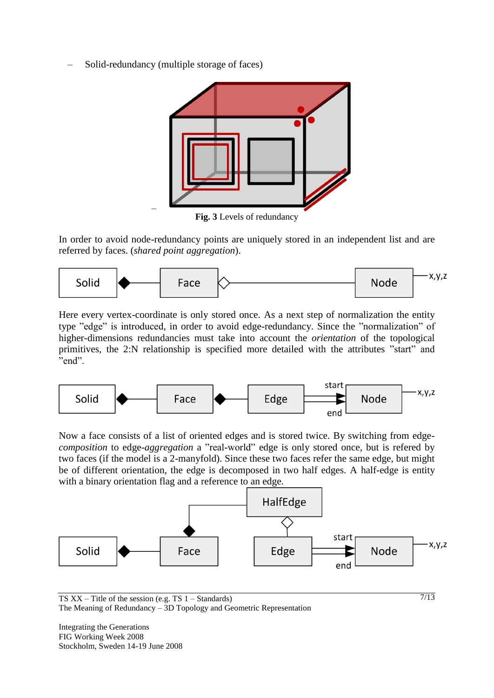– Solid-redundancy (multiple storage of faces)

–



**Fig. 3** Levels of redundancy

In order to avoid node-redundancy points are uniquely stored in an independent list and are referred by faces. (*shared point aggregation*).



Here every vertex-coordinate is only stored once. As a next step of normalization the entity type "edge" is introduced, in order to avoid edge-redundancy. Since the "normalization" of higher-dimensions redundancies must take into account the *orientation* of the topological primitives, the 2:N relationship is specified more detailed with the attributes "start" and "end".



Now a face consists of a list of oriented edges and is stored twice. By switching from edge*composition* to edge-*aggregation* a "real-world" edge is only stored once, but is refered by two faces (if the model is a 2-manyfold). Since these two faces refer the same edge, but might be of different orientation, the edge is decomposed in two half edges. A half-edge is entity with a binary orientation flag and a reference to an edge.



7/13

TS  $XX$  – Title of the session (e.g. TS  $1$  – Standards) The Meaning of Redundancy – 3D Topology and Geometric Representation

Integrating the Generations FIG Working Week 2008 Stockholm, Sweden 14-19 June 2008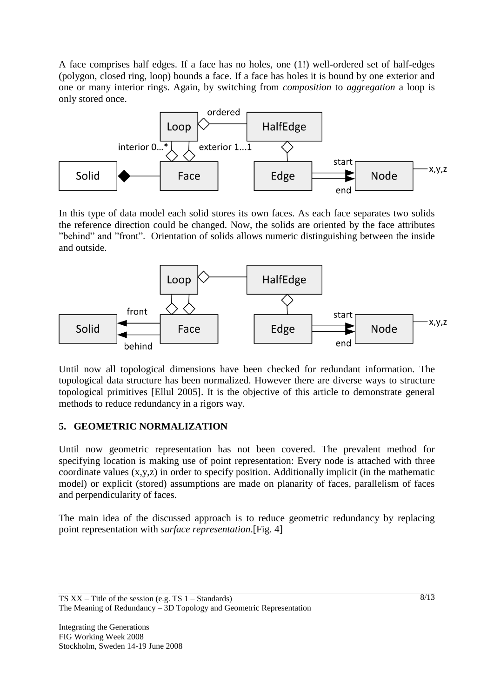A face comprises half edges. If a face has no holes, one (1!) well-ordered set of half-edges (polygon, closed ring, loop) bounds a face. If a face has holes it is bound by one exterior and one or many interior rings. Again, by switching from *composition* to *aggregation* a loop is only stored once.



In this type of data model each solid stores its own faces. As each face separates two solids the reference direction could be changed. Now, the solids are oriented by the face attributes "behind" and "front". Orientation of solids allows numeric distinguishing between the inside and outside.



Until now all topological dimensions have been checked for redundant information. The topological data structure has been normalized. However there are diverse ways to structure topological primitives [Ellul 2005]. It is the objective of this article to demonstrate general methods to reduce redundancy in a rigors way.

### **5. GEOMETRIC NORMALIZATION**

Until now geometric representation has not been covered. The prevalent method for specifying location is making use of point representation: Every node is attached with three coordinate values (x,y,z) in order to specify position. Additionally implicit (in the mathematic model) or explicit (stored) assumptions are made on planarity of faces, parallelism of faces and perpendicularity of faces.

The main idea of the discussed approach is to reduce geometric redundancy by replacing point representation with *surface representation*.[Fig. 4]

TS XX – Title of the session (e.g. TS 1 – Standards) The Meaning of Redundancy – 3D Topology and Geometric Representation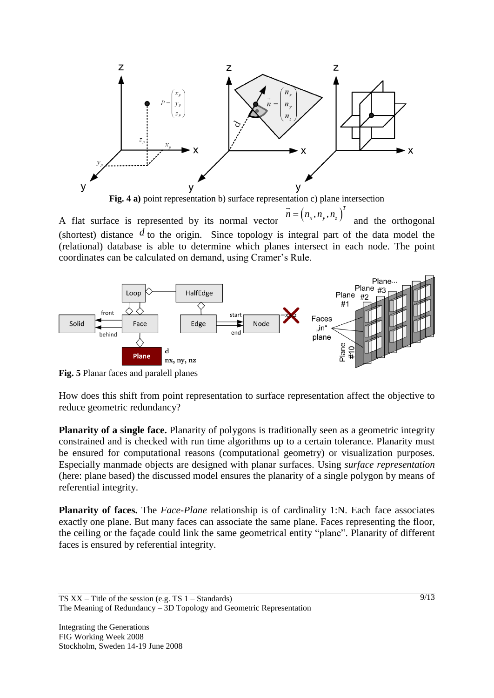

**Fig. 4 a)** point representation b) surface representation c) plane intersection

A flat surface is represented by its normal vector  $\left(n_{\scriptscriptstyle x}, n_{\scriptscriptstyle y}, n_{\scriptscriptstyle z}\right)^T$  $\vec{n} = (n_x, n_y, n_z)$ and the orthogonal (shortest) distance  $d$  to the origin. Since topology is integral part of the data model the (relational) database is able to determine which planes intersect in each node. The point coordinates can be calculated on demand, using Cramer's Rule.



**Fig. 5** Planar faces and paralell planes

How does this shift from point representation to surface representation affect the objective to reduce geometric redundancy?

**Planarity of a single face.** Planarity of polygons is traditionally seen as a geometric integrity constrained and is checked with run time algorithms up to a certain tolerance. Planarity must be ensured for computational reasons (computational geometry) or visualization purposes. Especially manmade objects are designed with planar surfaces. Using *surface representation* (here: plane based) the discussed model ensures the planarity of a single polygon by means of referential integrity.

**Planarity of faces.** The *Face*-*Plane* relationship is of cardinality 1:N. Each face associates exactly one plane. But many faces can associate the same plane. Faces representing the floor, the ceiling or the façade could link the same geometrical entity "plane". Planarity of different faces is ensured by referential integrity.

TS XX – Title of the session (e.g. TS 1 – Standards) The Meaning of Redundancy – 3D Topology and Geometric Representation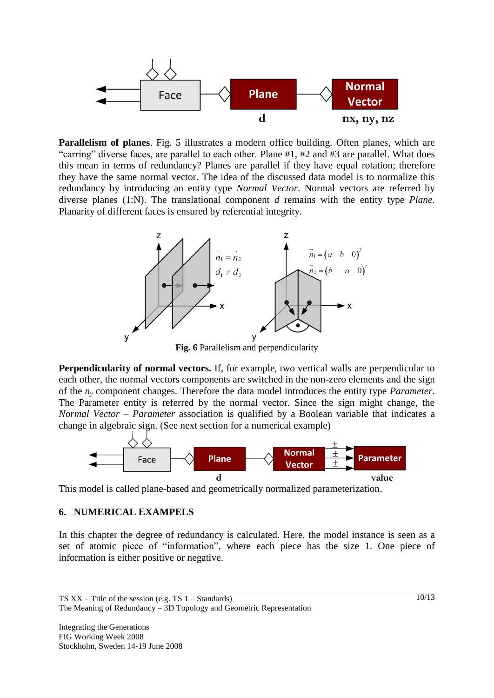

**Parallelism of planes**. Fig. 5 illustrates a modern office building. Often planes, which are "carring" diverse faces, are parallel to each other. Plane #1, #2 and #3 are parallel. What does this mean in terms of redundancy? Planes are parallel if they have equal rotation; therefore they have the same normal vector. The idea of the discussed data model is to normalize this redundancy by introducing an entity type *Normal Vector*. Normal vectors are referred by diverse planes (1:N). The translational component *d* remains with the entity type *Plane*. Planarity of different faces is ensured by referential integrity.



**Fig. 6** Parallelism and perpendicularity

**Perpendicularity of normal vectors.** If, for example, two vertical walls are perpendicular to each other, the normal vectors components are switched in the non-zero elements and the sign of the *n<sup>y</sup>* component changes. Therefore the data model introduces the entity type *Parameter*. The Parameter entity is referred by the normal vector. Since the sign might change, the *Normal Vector* – *Parameter* association is qualified by a Boolean variable that indicates a change in algebraic sign. (See next section for a numerical example)



This model is called plane-based and geometrically normalized parameterization.

### **6. NUMERICAL EXAMPELS**

In this chapter the degree of redundancy is calculated. Here, the model instance is seen as a set of atomic piece of "information", where each piece has the size 1. One piece of information is either positive or negative.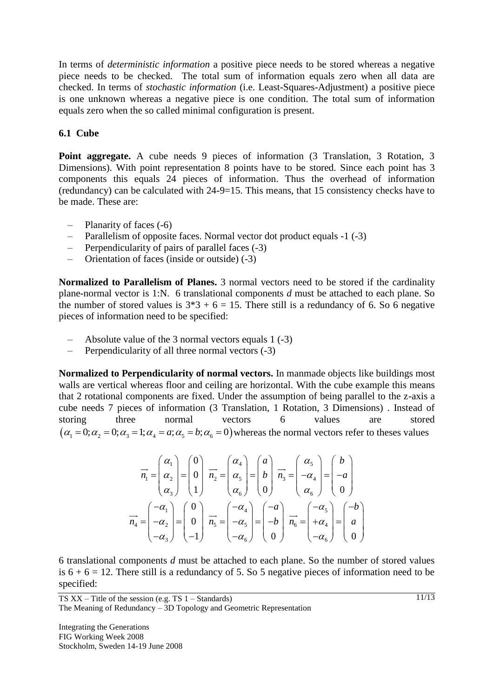In terms of *deterministic information* a positive piece needs to be stored whereas a negative piece needs to be checked. The total sum of information equals zero when all data are checked. In terms of *stochastic information* (i.e. Least-Squares-Adjustment) a positive piece is one unknown whereas a negative piece is one condition. The total sum of information equals zero when the so called minimal configuration is present.

### **6.1 Cube**

**Point aggregate.** A cube needs 9 pieces of information (3 Translation, 3 Rotation, 3 Dimensions). With point representation 8 points have to be stored. Since each point has 3 components this equals 24 pieces of information. Thus the overhead of information (redundancy) can be calculated with 24-9=15. This means, that 15 consistency checks have to be made. These are:

- Planarity of faces (-6)
- Parallelism of opposite faces. Normal vector dot product equals -1 (-3)
- Perpendicularity of pairs of parallel faces (-3)
- Orientation of faces (inside or outside) (-3)

**Normalized to Parallelism of Planes.** 3 normal vectors need to be stored if the cardinality plane-normal vector is 1:N. 6 translational components *d* must be attached to each plane. So the number of stored values is  $3*3 + 6 = 15$ . There still is a redundancy of 6. So 6 negative pieces of information need to be specified:

- Absolute value of the 3 normal vectors equals 1 (-3)
- Perpendicularity of all three normal vectors (-3)

**Normalized to Perpendicularity of normal vectors.** In manmade objects like buildings most walls are vertical whereas floor and ceiling are horizontal. With the cube example this means that 2 rotational components are fixed. Under the assumption of being parallel to the z-axis a cube needs 7 pieces of information (3 Translation, 1 Rotation, 3 Dimensions) . Instead of storing three normal vectors 6 values are stored three normal vectors 6 values are store<br>  $(\alpha_1 = 0; \alpha_2 = 0; \alpha_3 = 1; \alpha_4 = a; \alpha_5 = b; \alpha_6 = 0)$  whereas the normal vectors refer to theses values

$$
\overrightarrow{n_1} = \begin{pmatrix} \alpha_1 \\ \alpha_2 \\ \alpha_3 \end{pmatrix} = \begin{pmatrix} 0 \\ 0 \\ 1 \end{pmatrix} \overrightarrow{n_2} = \begin{pmatrix} \alpha_4 \\ \alpha_5 \\ \alpha_6 \end{pmatrix} = \begin{pmatrix} a \\ b \\ 0 \end{pmatrix} \overrightarrow{n_3} = \begin{pmatrix} \alpha_5 \\ -\alpha_4 \\ \alpha_6 \end{pmatrix} = \begin{pmatrix} b \\ -a \\ 0 \end{pmatrix}
$$

$$
\overrightarrow{n_4} = \begin{pmatrix} -\alpha_1 \\ -\alpha_2 \\ -\alpha_3 \end{pmatrix} = \begin{pmatrix} 0 \\ 0 \\ -1 \end{pmatrix} \overrightarrow{n_5} = \begin{pmatrix} -\alpha_4 \\ -\alpha_5 \\ -\alpha_6 \end{pmatrix} = \begin{pmatrix} -a \\ -b \\ 0 \end{pmatrix} \overrightarrow{n_6} = \begin{pmatrix} -\alpha_5 \\ +\alpha_4 \\ -\alpha_6 \end{pmatrix} = \begin{pmatrix} -b \\ a \\ 0 \end{pmatrix}
$$

6 translational components *d* must be attached to each plane. So the number of stored values is  $6 + 6 = 12$ . There still is a redundancy of 5. So 5 negative pieces of information need to be specified: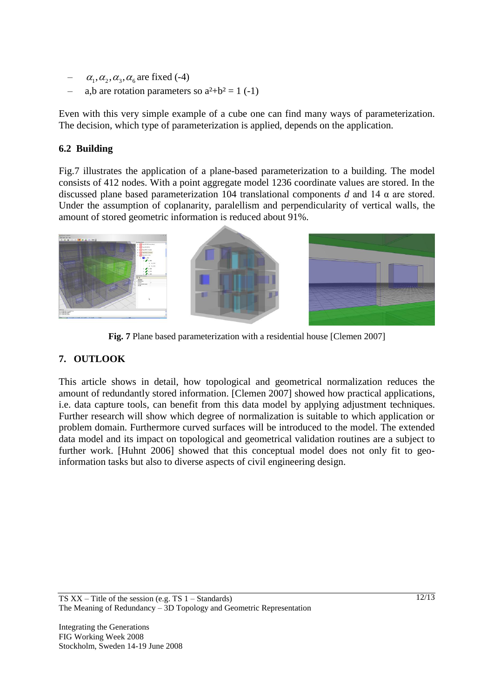- $\alpha_1, \alpha_2, \alpha_3, \alpha_6$  are fixed (-4)
- a,b are rotation parameters so  $a^2+b^2 = 1$  (-1)

Even with this very simple example of a cube one can find many ways of parameterization. The decision, which type of parameterization is applied, depends on the application.

### **6.2 Building**

Fig.7 illustrates the application of a plane-based parameterization to a building. The model consists of 412 nodes. With a point aggregate model 1236 coordinate values are stored. In the discussed plane based parameterization 104 translational components *d* and 14 α are stored. Under the assumption of coplanarity, paralellism and perpendicularity of vertical walls, the amount of stored geometric information is reduced about 91%.



**Fig. 7** Plane based parameterization with a residential house [Clemen 2007]

## **7. OUTLOOK**

This article shows in detail, how topological and geometrical normalization reduces the amount of redundantly stored information. [Clemen 2007] showed how practical applications, i.e. data capture tools, can benefit from this data model by applying adjustment techniques. Further research will show which degree of normalization is suitable to which application or problem domain. Furthermore curved surfaces will be introduced to the model. The extended data model and its impact on topological and geometrical validation routines are a subject to further work. [Huhnt 2006] showed that this conceptual model does not only fit to geoinformation tasks but also to diverse aspects of civil engineering design.